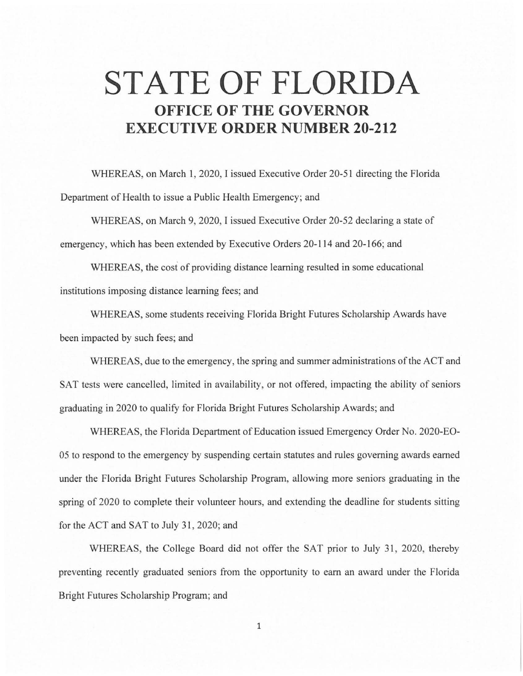## **STATE OF FLORIDA OFFICE OF THE GOVERNOR EXECUTIVE ORDER NUMBER 20-212**

WHEREAS, on March 1, 2020, I issued Executive Order 20-51 directing the Florida Department of Health to issue a Public Health Emergency; and

WHEREAS, on March 9, 2020, I issued Executive Order 20-52 declaring a state of emergency, which has been extended by Executive Orders 20-114 and 20-166; and

WHEREAS, the cost of providing distance learning resulted in some educational institutions imposing distance learning fees; and

WHEREAS, some students receiving Florida Bright Futures Scholarship Awards have been impacted by such fees; and

WHEREAS, due to the emergency, the spring and summer administrations of the ACT and SAT tests were cancelled, limited in availability, or not offered, impacting the ability of seniors graduating in 2020 to qualify for Florida Bright Futures Scholarship Awards; and

WHEREAS, the Florida Department of Education issued Emergency Order No. 2020-EO-05 to respond to the emergency by suspending certain statutes and rules governing awards earned under the Florida Bright Futures Scholarship Program, allowing more seniors graduating in the spring of 2020 to complete their volunteer hours, and extending the deadline for students sitting for the ACT and SAT to July 31, 2020; and

WHEREAS, the College Board did not offer the SAT prior to July 31, 2020, thereby preventing recently graduated seniors from the opportunity to earn an award under the Florida Bright Futures Scholarship Program; and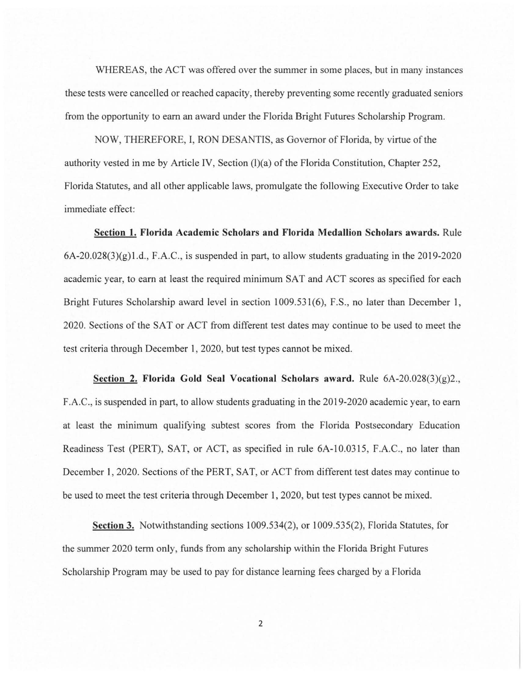WHEREAS, the ACT was offered over the summer in some places, but in many instances these tests were cancelled or reached capacity, thereby preventing some recently graduated seniors from the opportunity to earn an award under the Florida Bright Futures Scholarship Program.

NOW, THEREFORE, I, RON DESANTIS, as Governor of Florida, by virtue of the authority vested in me by Article IV, Section (l)(a) of the Florida Constitution, Chapter 252, Florida Statutes, and all other applicable laws, promulgate the following Executive Order to take immediate effect:

**Section 1. Florida Academic Scholars and Florida Medallion Scholars awards.** Rule  $6A-20.028(3)(g)1.d., F.A.C.,$  is suspended in part, to allow students graduating in the 2019-2020 academic year, to earn at least the required minimum SAT and ACT scores as specified for each Bright Futures Scholarship award level in section 1009.531(6), F.S., no later than December 1, 2020. Sections of the SAT or ACT from different test dates may continue to be used to meet the test criteria through December 1, 2020, but test types cannot be mixed.

**Section 2. Florida Gold Seal Vocational Scholars award.** Rule 6A-20.028(3)(g)2., F .A.C., is suspended in part, to allow students graduating in the 2019-2020 academic year, to earn at least the minimum qualifying subtest scores from the Florida Postsecondary Education Readiness Test (PERT), SAT, or ACT, as specified in rule 6A-10.0315, F.A.C., no later than December I, 2020. Sections of the PERT, SAT, or ACT from different test dates may continue to be used to meet the test criteria through December **1,** 2020, but test types cannot be mixed.

**Section 3.** Notwithstanding sections 1009.534(2), or 1009.535(2), Florida Statutes, for the summer 2020 term only, funds from any scholarship within the Florida Bright Futures Scholarship Program may be used to pay for distance learning fees charged by a Florida

2